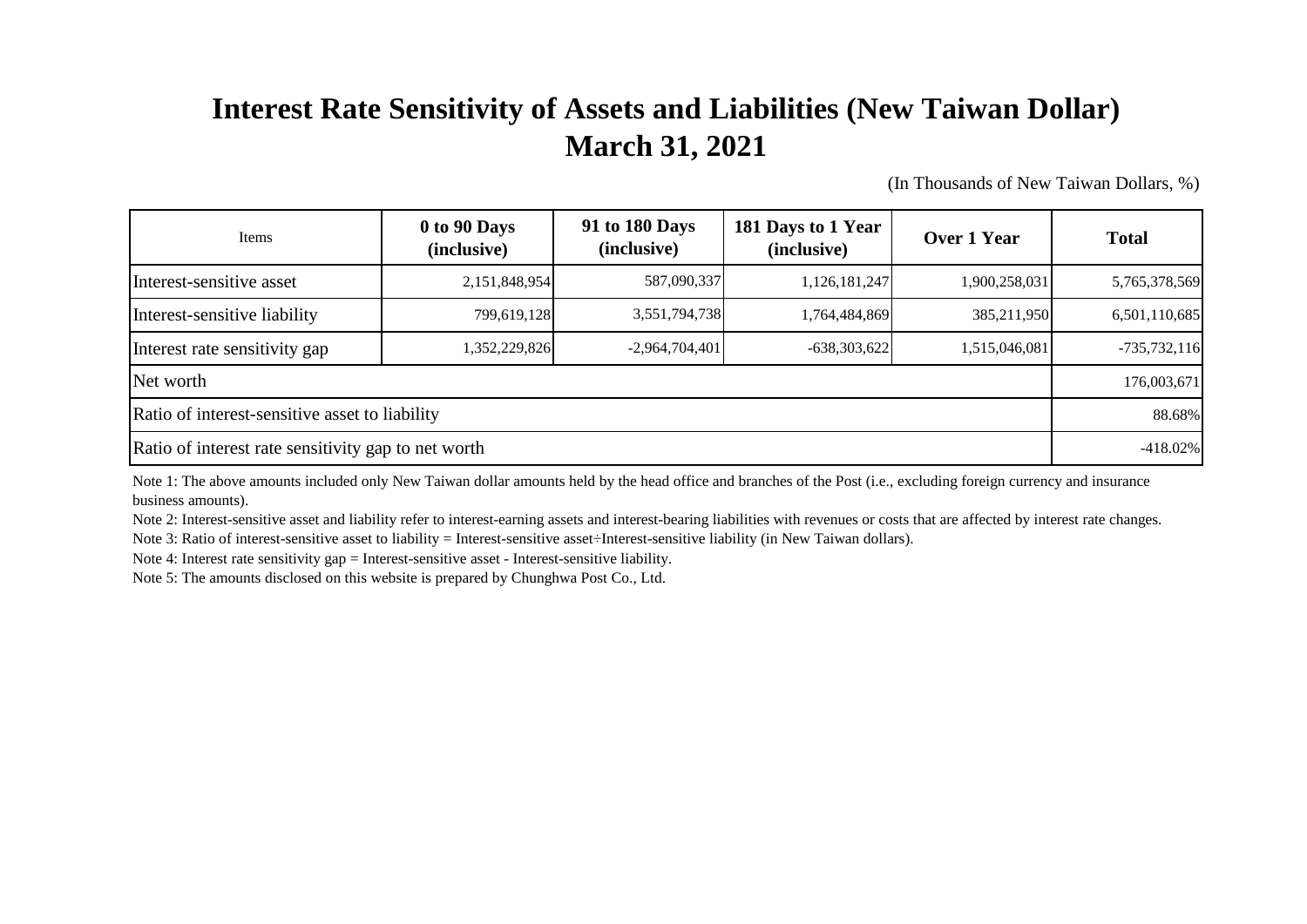## **Interest Rate Sensitivity of Assets and Liabilities (New Taiwan Dollar) March 31, 2021**

(In Thousands of New Taiwan Dollars, %)

| Items                                               | 0 to 90 Days<br>(inclusive) | 91 to 180 Days<br>(inclusive) | 181 Days to 1 Year<br>(inclusive) | Over 1 Year   | <b>Total</b>   |
|-----------------------------------------------------|-----------------------------|-------------------------------|-----------------------------------|---------------|----------------|
| Interest-sensitive asset                            | 2,151,848,954               | 587,090,337                   | 1,126,181,247                     | 1,900,258,031 | 5,765,378,569  |
| Interest-sensitive liability                        | 799,619,128                 | 3,551,794,738                 | 1,764,484,869                     | 385,211,950   | 6,501,110,685  |
| Interest rate sensitivity gap                       | 352,229,826                 | $-2,964,704,401$              | $-638,303,622$                    | 1,515,046,081 | $-735,732,116$ |
| Net worth                                           |                             |                               |                                   |               |                |
| Ratio of interest-sensitive asset to liability      |                             |                               |                                   |               |                |
| Ratio of interest rate sensitivity gap to net worth |                             |                               |                                   |               |                |

Note 1: The above amounts included only New Taiwan dollar amounts held by the head office and branches of the Post (i.e., excluding foreign currency and insurance business amounts).

Note 2: Interest-sensitive asset and liability refer to interest-earning assets and interest-bearing liabilities with revenues or costs that are affected by interest rate changes.

Note 3: Ratio of interest-sensitive asset to liability = Interest-sensitive asset÷Interest-sensitive liability (in New Taiwan dollars).

Note 4: Interest rate sensitivity gap = Interest-sensitive asset - Interest-sensitive liability.

Note 5: The amounts disclosed on this website is prepared by Chunghwa Post Co., Ltd.